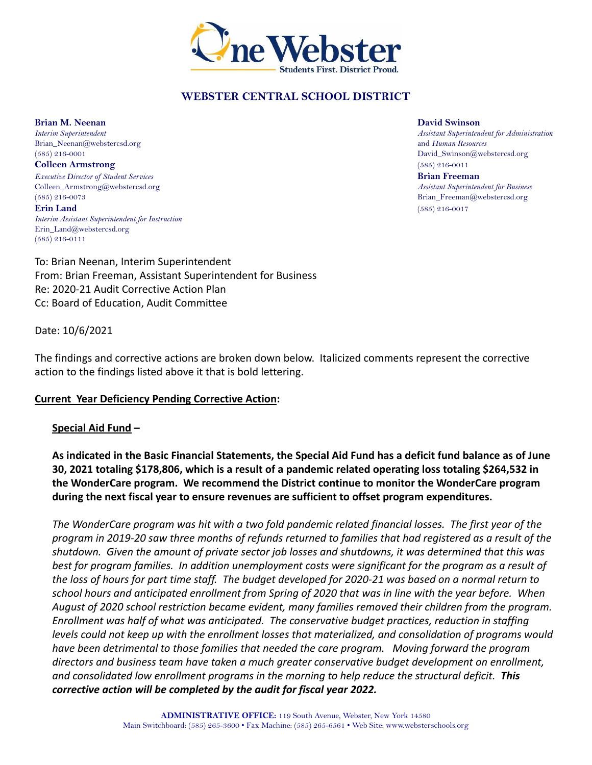

# **WEBSTER CENTRAL SCHOOL DISTRICT**

**Brian M. Neenan David Swinson** Brian\_Neenan@webstercsd.org and *Human Resources*<br>
(585) 216-0001 **David\_Swinson@we** 

*Executive Director of Student Services* **Brian Freeman** Colleen\_Armstrong@webstercsd.org *Assistant Superintendent for Business* (585) 216-0073 Brian\_Freeman@webstercsd.org **Erin Land** (585) 216-0017

*Interim Assistant Superintendent for Instruction* Erin\_Land@webstercsd.org (585) 216-0111

To: Brian Neenan, Interim Superintendent From: Brian Freeman, Assistant Superintendent for Business Re: 2020-21 Audit Corrective Action Plan Cc: Board of Education, Audit Committee

Date: 10/6/2021

The findings and corrective actions are broken down below. Italicized comments represent the corrective action to the findings listed above it that is bold lettering.

#### **Current Year Deficiency Pending Corrective Action:**

#### **Special Aid Fund –**

**As indicated in the Basic Financial Statements, the Special Aid Fund has a deficit fund balance as of June 30, 2021 totaling \$178,806, which is a result of a pandemic related operating loss totaling \$264,532 in the WonderCare program. We recommend the District continue to monitor the WonderCare program during the next fiscal year to ensure revenues are sufficient to offset program expenditures.**

*The WonderCare program was hit with a two fold pandemic related financial losses. The first year of the program in 2019-20 saw three months of refunds returned to families that had registered as a result of the shutdown. Given the amount of private sector job losses and shutdowns, it was determined that this was best for program families. In addition unemployment costs were significant for the program as a result of the loss of hours for part time staff. The budget developed for 2020-21 was based on a normal return to school hours and anticipated enrollment from Spring of 2020 that was in line with the year before. When August of 2020 school restriction became evident, many families removed their children from the program. Enrollment was half of what was anticipated. The conservative budget practices, reduction in staffing levels could not keep up with the enrollment losses that materialized, and consolidation of programs would have been detrimental to those families that needed the care program. Moving forward the program directors and business team have taken a much greater conservative budget development on enrollment, and consolidated low enrollment programs in the morning to help reduce the structural deficit. This corrective action will be completed by the audit for fiscal year 2022.*

*Interim Superintendent Assistant Superintendent for Administration* David\_Swinson@webstercsd.org **Colleen Armstrong** (585) 216-0011